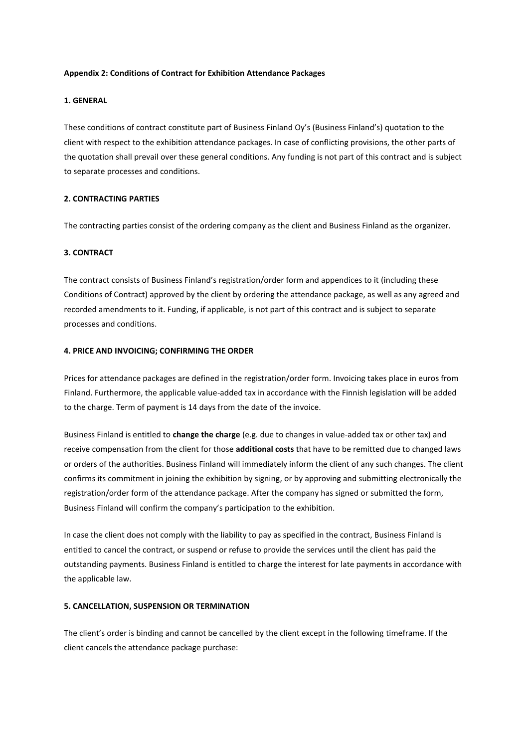## **Appendix 2: Conditions of Contract for Exhibition Attendance Packages**

## **1. GENERAL**

These conditions of contract constitute part of Business Finland Oy's (Business Finland's) quotation to the client with respect to the exhibition attendance packages. In case of conflicting provisions, the other parts of the quotation shall prevail over these general conditions. Any funding is not part of this contract and is subject to separate processes and conditions.

## **2. CONTRACTING PARTIES**

The contracting parties consist of the ordering company as the client and Business Finland as the organizer.

# **3. CONTRACT**

The contract consists of Business Finland's registration/order form and appendices to it (including these Conditions of Contract) approved by the client by ordering the attendance package, as well as any agreed and recorded amendments to it. Funding, if applicable, is not part of this contract and is subject to separate processes and conditions.

## **4. PRICE AND INVOICING; CONFIRMING THE ORDER**

Prices for attendance packages are defined in the registration/order form. Invoicing takes place in euros from Finland. Furthermore, the applicable value-added tax in accordance with the Finnish legislation will be added to the charge. Term of payment is 14 days from the date of the invoice.

Business Finland is entitled to **change the charge** (e.g. due to changes in value-added tax or other tax) and receive compensation from the client for those **additional costs** that have to be remitted due to changed laws or orders of the authorities. Business Finland will immediately inform the client of any such changes. The client confirms its commitment in joining the exhibition by signing, or by approving and submitting electronically the registration/order form of the attendance package. After the company has signed or submitted the form, Business Finland will confirm the company's participation to the exhibition.

In case the client does not comply with the liability to pay as specified in the contract, Business Finland is entitled to cancel the contract, or suspend or refuse to provide the services until the client has paid the outstanding payments. Business Finland is entitled to charge the interest for late payments in accordance with the applicable law.

#### **5. CANCELLATION, SUSPENSION OR TERMINATION**

The client's order is binding and cannot be cancelled by the client except in the following timeframe. If the client cancels the attendance package purchase: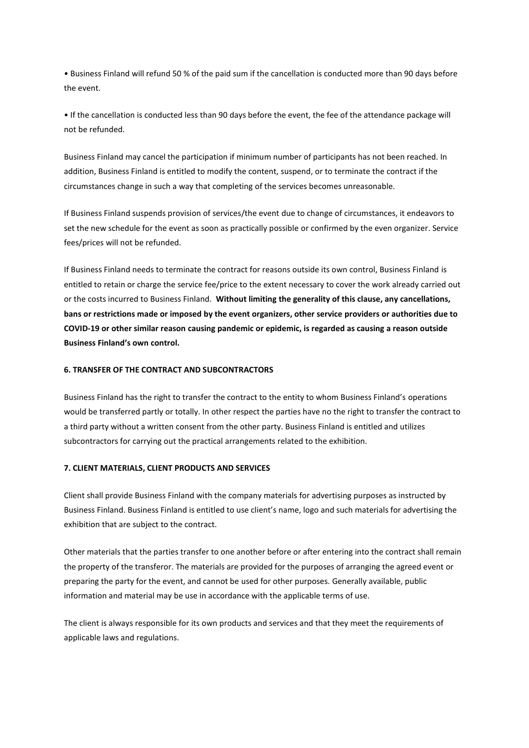• Business Finland will refund 50 % of the paid sum if the cancellation is conducted more than 90 days before the event.

• If the cancellation is conducted less than 90 days before the event, the fee of the attendance package will not be refunded.

Business Finland may cancel the participation if minimum number of participants has not been reached. In addition, Business Finland is entitled to modify the content, suspend, or to terminate the contract if the circumstances change in such a way that completing of the services becomes unreasonable.

If Business Finland suspends provision of services/the event due to change of circumstances, it endeavors to set the new schedule for the event as soon as practically possible or confirmed by the even organizer. Service fees/prices will not be refunded.

If Business Finland needs to terminate the contract for reasons outside its own control, Business Finland is entitled to retain or charge the service fee/price to the extent necessary to cover the work already carried out or the costs incurred to Business Finland. **Without limiting the generality of this clause, any cancellations, bans or restrictions made or imposed by the event organizers, other service providers or authorities due to COVID-19 or other similar reason causing pandemic or epidemic, is regarded as causing a reason outside Business Finland's own control.** 

## **6. TRANSFER OF THE CONTRACT AND SUBCONTRACTORS**

Business Finland has the right to transfer the contract to the entity to whom Business Finland's operations would be transferred partly or totally. In other respect the parties have no the right to transfer the contract to a third party without a written consent from the other party. Business Finland is entitled and utilizes subcontractors for carrying out the practical arrangements related to the exhibition.

#### **7. CLIENT MATERIALS, CLIENT PRODUCTS AND SERVICES**

Client shall provide Business Finland with the company materials for advertising purposes as instructed by Business Finland. Business Finland is entitled to use client's name, logo and such materials for advertising the exhibition that are subject to the contract.

Other materials that the parties transfer to one another before or after entering into the contract shall remain the property of the transferor. The materials are provided for the purposes of arranging the agreed event or preparing the party for the event, and cannot be used for other purposes. Generally available, public information and material may be use in accordance with the applicable terms of use.

The client is always responsible for its own products and services and that they meet the requirements of applicable laws and regulations.